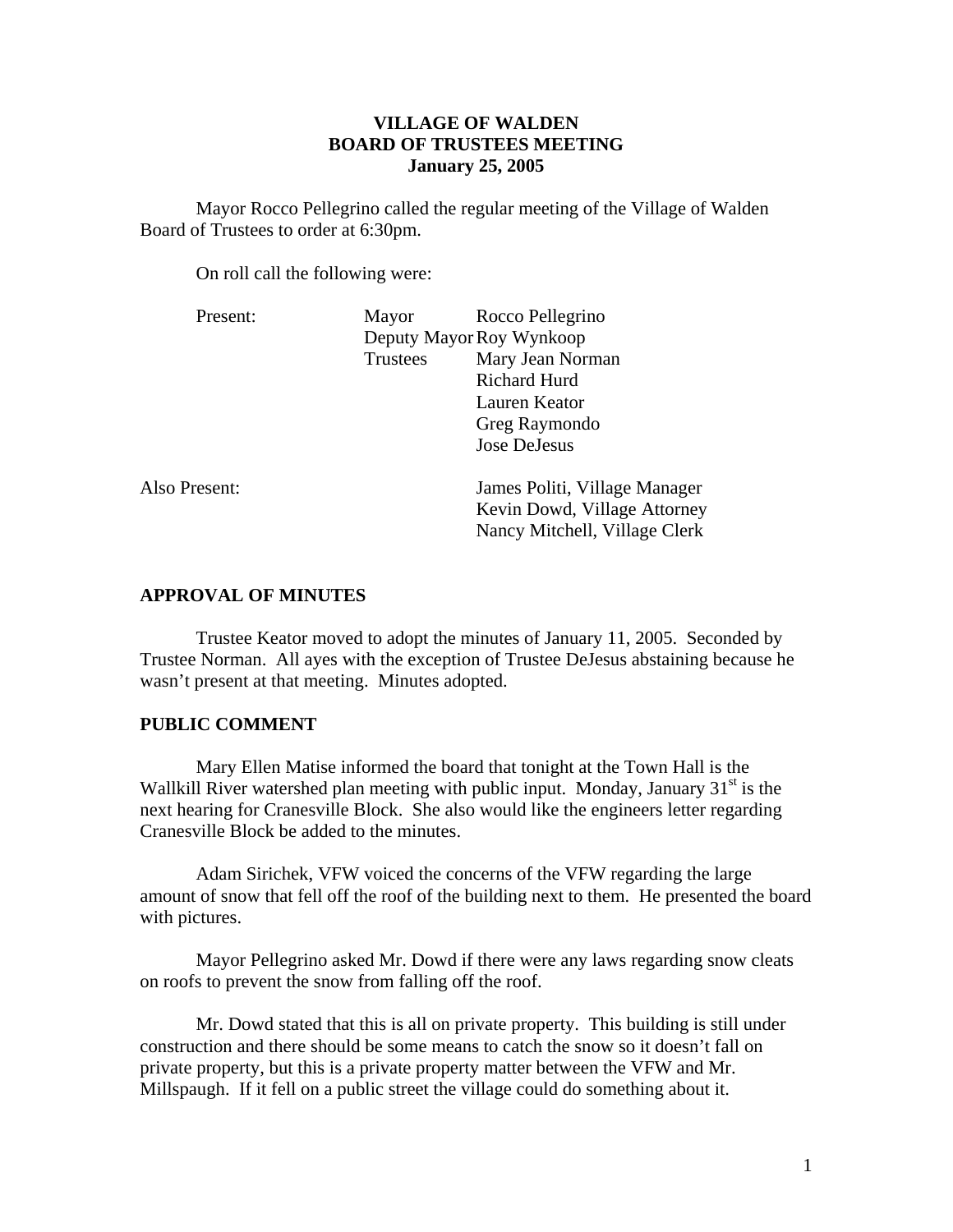# **VILLAGE OF WALDEN BOARD OF TRUSTEES MEETING January 25, 2005**

 Mayor Rocco Pellegrino called the regular meeting of the Village of Walden Board of Trustees to order at 6:30pm.

On roll call the following were:

| Present:      | Mayor                    | Rocco Pellegrino              |
|---------------|--------------------------|-------------------------------|
|               | Deputy Mayor Roy Wynkoop |                               |
|               | <b>Trustees</b>          | Mary Jean Norman              |
|               |                          | <b>Richard Hurd</b>           |
|               |                          | Lauren Keator                 |
|               |                          | Greg Raymondo                 |
|               |                          | Jose DeJesus                  |
| Also Present: |                          | James Politi, Village Manager |
|               |                          | Kevin Dowd, Village Attorney  |
|               |                          | Nancy Mitchell, Village Clerk |
|               |                          |                               |

#### **APPROVAL OF MINUTES**

Trustee Keator moved to adopt the minutes of January 11, 2005. Seconded by Trustee Norman. All ayes with the exception of Trustee DeJesus abstaining because he wasn't present at that meeting. Minutes adopted.

#### **PUBLIC COMMENT**

Mary Ellen Matise informed the board that tonight at the Town Hall is the Wallkill River watershed plan meeting with public input. Monday, January  $31<sup>st</sup>$  is the next hearing for Cranesville Block. She also would like the engineers letter regarding Cranesville Block be added to the minutes.

 Adam Sirichek, VFW voiced the concerns of the VFW regarding the large amount of snow that fell off the roof of the building next to them. He presented the board with pictures.

 Mayor Pellegrino asked Mr. Dowd if there were any laws regarding snow cleats on roofs to prevent the snow from falling off the roof.

 Mr. Dowd stated that this is all on private property. This building is still under construction and there should be some means to catch the snow so it doesn't fall on private property, but this is a private property matter between the VFW and Mr. Millspaugh. If it fell on a public street the village could do something about it.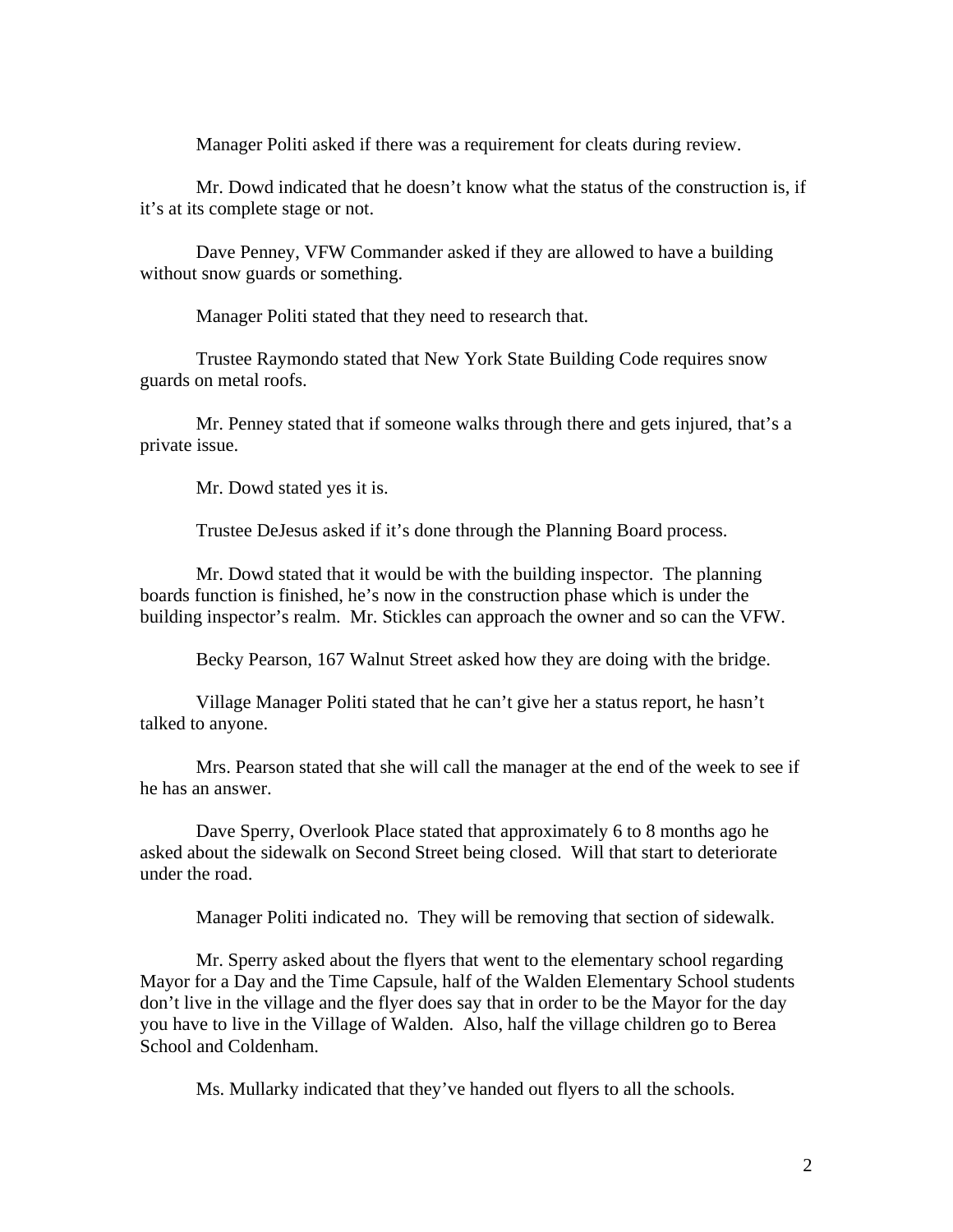Manager Politi asked if there was a requirement for cleats during review.

 Mr. Dowd indicated that he doesn't know what the status of the construction is, if it's at its complete stage or not.

 Dave Penney, VFW Commander asked if they are allowed to have a building without snow guards or something.

Manager Politi stated that they need to research that.

 Trustee Raymondo stated that New York State Building Code requires snow guards on metal roofs.

 Mr. Penney stated that if someone walks through there and gets injured, that's a private issue.

Mr. Dowd stated yes it is.

Trustee DeJesus asked if it's done through the Planning Board process.

 Mr. Dowd stated that it would be with the building inspector. The planning boards function is finished, he's now in the construction phase which is under the building inspector's realm. Mr. Stickles can approach the owner and so can the VFW.

Becky Pearson, 167 Walnut Street asked how they are doing with the bridge.

 Village Manager Politi stated that he can't give her a status report, he hasn't talked to anyone.

 Mrs. Pearson stated that she will call the manager at the end of the week to see if he has an answer.

 Dave Sperry, Overlook Place stated that approximately 6 to 8 months ago he asked about the sidewalk on Second Street being closed. Will that start to deteriorate under the road.

Manager Politi indicated no. They will be removing that section of sidewalk.

 Mr. Sperry asked about the flyers that went to the elementary school regarding Mayor for a Day and the Time Capsule, half of the Walden Elementary School students don't live in the village and the flyer does say that in order to be the Mayor for the day you have to live in the Village of Walden. Also, half the village children go to Berea School and Coldenham.

Ms. Mullarky indicated that they've handed out flyers to all the schools.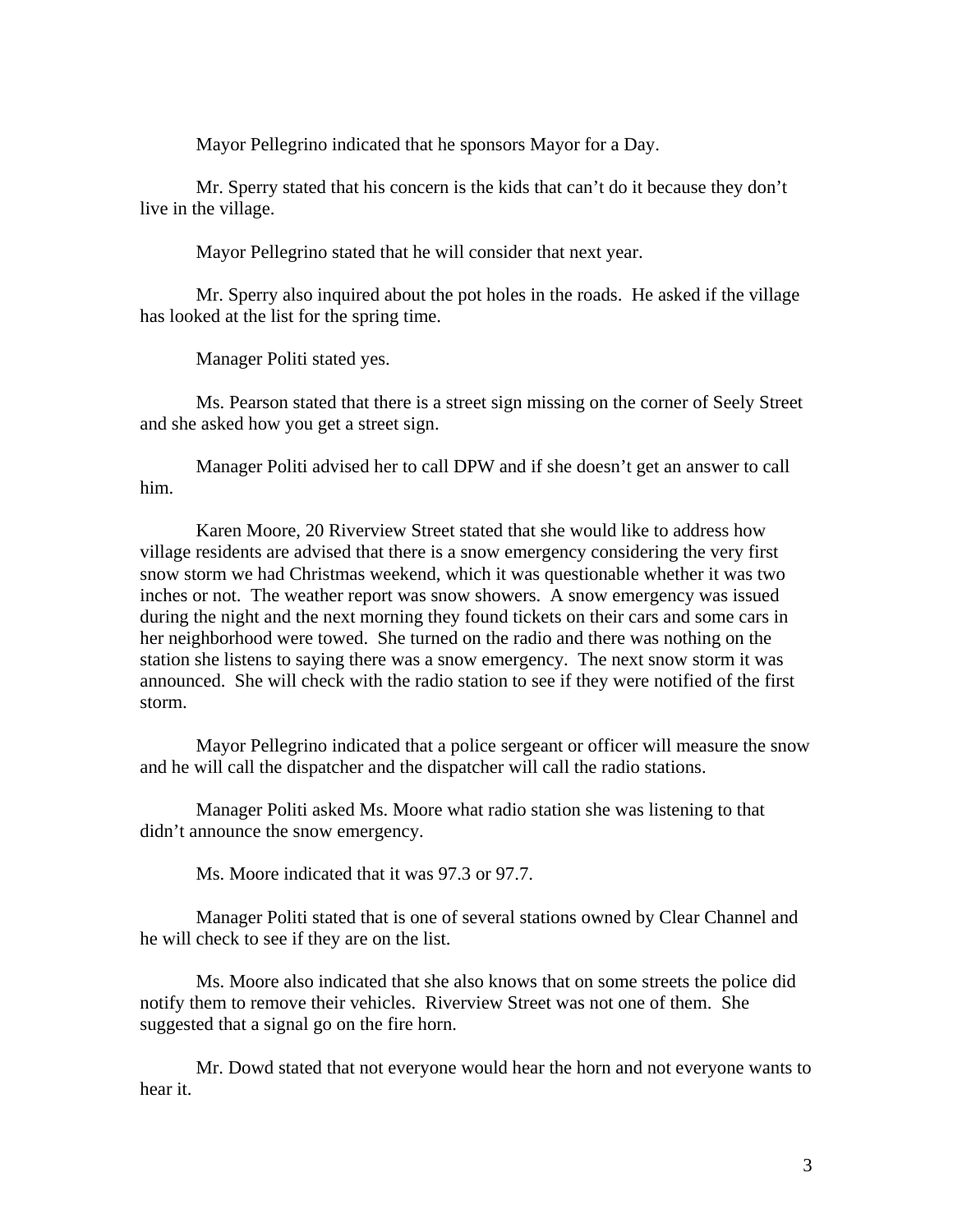Mayor Pellegrino indicated that he sponsors Mayor for a Day.

 Mr. Sperry stated that his concern is the kids that can't do it because they don't live in the village.

Mayor Pellegrino stated that he will consider that next year.

 Mr. Sperry also inquired about the pot holes in the roads. He asked if the village has looked at the list for the spring time.

Manager Politi stated yes.

 Ms. Pearson stated that there is a street sign missing on the corner of Seely Street and she asked how you get a street sign.

 Manager Politi advised her to call DPW and if she doesn't get an answer to call him.

 Karen Moore, 20 Riverview Street stated that she would like to address how village residents are advised that there is a snow emergency considering the very first snow storm we had Christmas weekend, which it was questionable whether it was two inches or not. The weather report was snow showers. A snow emergency was issued during the night and the next morning they found tickets on their cars and some cars in her neighborhood were towed. She turned on the radio and there was nothing on the station she listens to saying there was a snow emergency. The next snow storm it was announced. She will check with the radio station to see if they were notified of the first storm.

 Mayor Pellegrino indicated that a police sergeant or officer will measure the snow and he will call the dispatcher and the dispatcher will call the radio stations.

 Manager Politi asked Ms. Moore what radio station she was listening to that didn't announce the snow emergency.

Ms. Moore indicated that it was 97.3 or 97.7.

 Manager Politi stated that is one of several stations owned by Clear Channel and he will check to see if they are on the list.

 Ms. Moore also indicated that she also knows that on some streets the police did notify them to remove their vehicles. Riverview Street was not one of them. She suggested that a signal go on the fire horn.

 Mr. Dowd stated that not everyone would hear the horn and not everyone wants to hear it.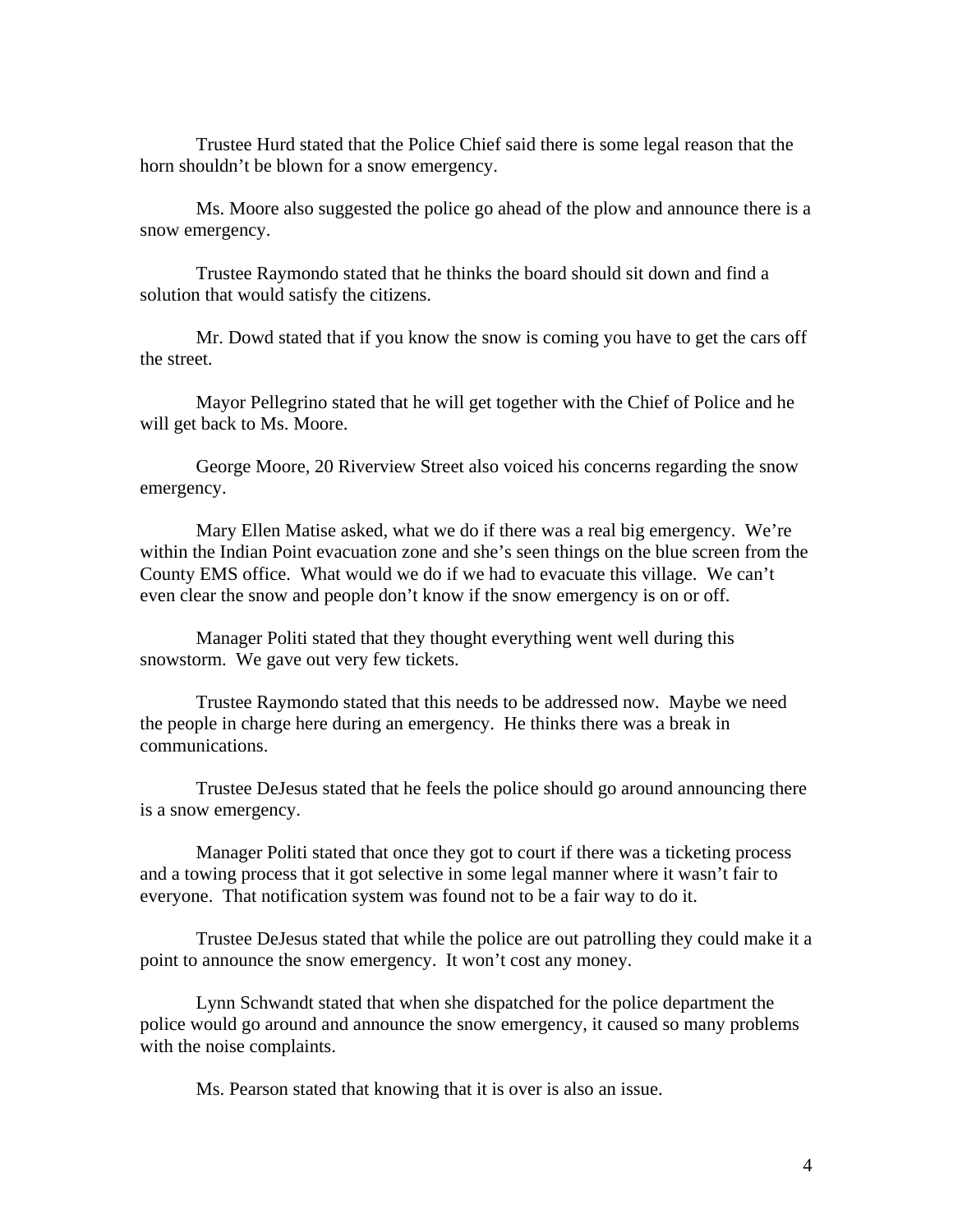Trustee Hurd stated that the Police Chief said there is some legal reason that the horn shouldn't be blown for a snow emergency.

 Ms. Moore also suggested the police go ahead of the plow and announce there is a snow emergency.

 Trustee Raymondo stated that he thinks the board should sit down and find a solution that would satisfy the citizens.

 Mr. Dowd stated that if you know the snow is coming you have to get the cars off the street.

 Mayor Pellegrino stated that he will get together with the Chief of Police and he will get back to Ms. Moore.

 George Moore, 20 Riverview Street also voiced his concerns regarding the snow emergency.

 Mary Ellen Matise asked, what we do if there was a real big emergency. We're within the Indian Point evacuation zone and she's seen things on the blue screen from the County EMS office. What would we do if we had to evacuate this village. We can't even clear the snow and people don't know if the snow emergency is on or off.

 Manager Politi stated that they thought everything went well during this snowstorm. We gave out very few tickets.

 Trustee Raymondo stated that this needs to be addressed now. Maybe we need the people in charge here during an emergency. He thinks there was a break in communications.

 Trustee DeJesus stated that he feels the police should go around announcing there is a snow emergency.

 Manager Politi stated that once they got to court if there was a ticketing process and a towing process that it got selective in some legal manner where it wasn't fair to everyone. That notification system was found not to be a fair way to do it.

 Trustee DeJesus stated that while the police are out patrolling they could make it a point to announce the snow emergency. It won't cost any money.

 Lynn Schwandt stated that when she dispatched for the police department the police would go around and announce the snow emergency, it caused so many problems with the noise complaints.

Ms. Pearson stated that knowing that it is over is also an issue.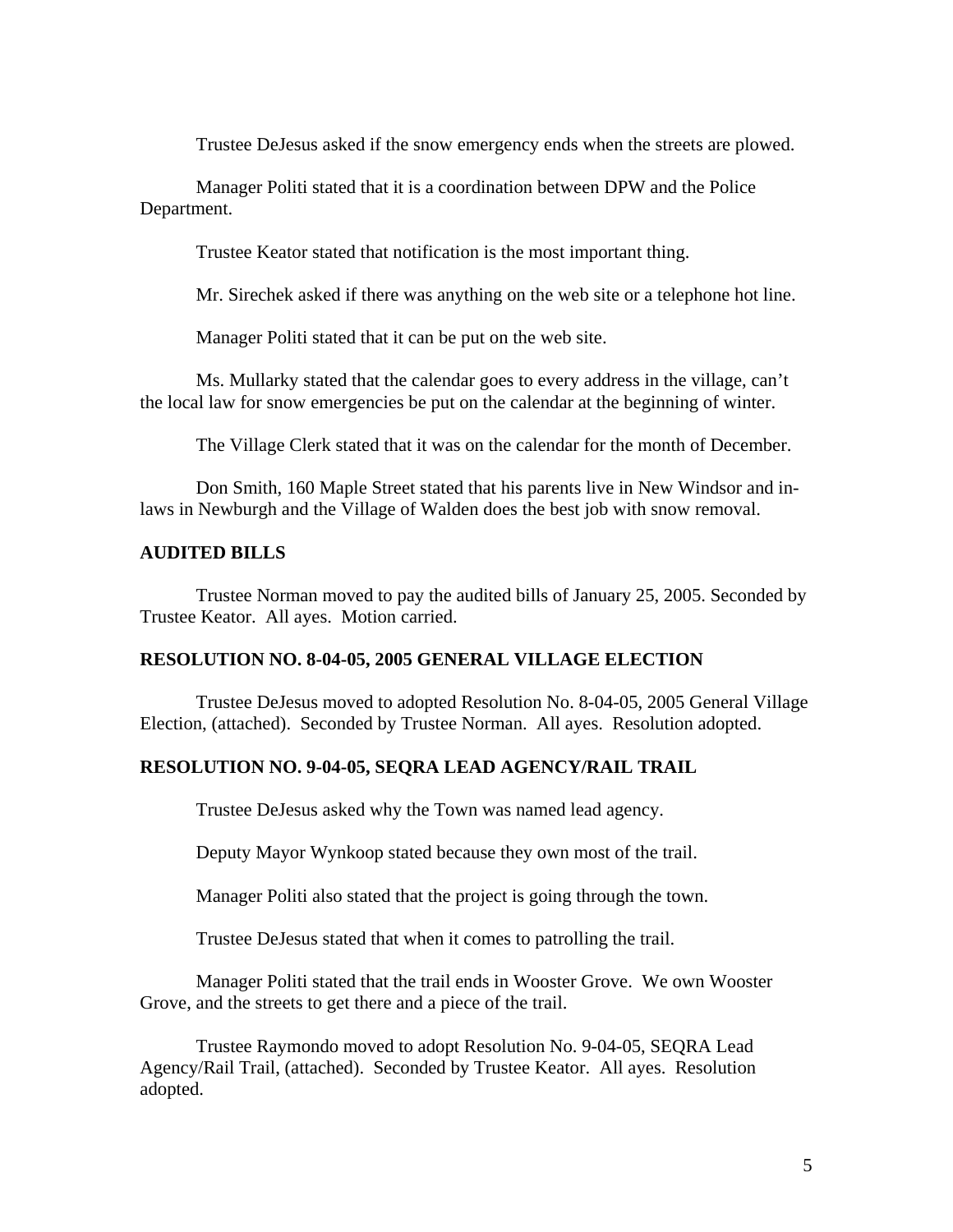Trustee DeJesus asked if the snow emergency ends when the streets are plowed.

 Manager Politi stated that it is a coordination between DPW and the Police Department.

Trustee Keator stated that notification is the most important thing.

Mr. Sirechek asked if there was anything on the web site or a telephone hot line.

Manager Politi stated that it can be put on the web site.

 Ms. Mullarky stated that the calendar goes to every address in the village, can't the local law for snow emergencies be put on the calendar at the beginning of winter.

The Village Clerk stated that it was on the calendar for the month of December.

 Don Smith, 160 Maple Street stated that his parents live in New Windsor and inlaws in Newburgh and the Village of Walden does the best job with snow removal.

#### **AUDITED BILLS**

Trustee Norman moved to pay the audited bills of January 25, 2005. Seconded by Trustee Keator. All ayes. Motion carried.

### **RESOLUTION NO. 8-04-05, 2005 GENERAL VILLAGE ELECTION**

Trustee DeJesus moved to adopted Resolution No. 8-04-05, 2005 General Village Election, (attached). Seconded by Trustee Norman. All ayes. Resolution adopted.

### **RESOLUTION NO. 9-04-05, SEQRA LEAD AGENCY/RAIL TRAIL**

Trustee DeJesus asked why the Town was named lead agency.

Deputy Mayor Wynkoop stated because they own most of the trail.

Manager Politi also stated that the project is going through the town.

Trustee DeJesus stated that when it comes to patrolling the trail.

 Manager Politi stated that the trail ends in Wooster Grove. We own Wooster Grove, and the streets to get there and a piece of the trail.

Trustee Raymondo moved to adopt Resolution No. 9-04-05, SEQRA Lead Agency/Rail Trail, (attached). Seconded by Trustee Keator. All ayes. Resolution adopted.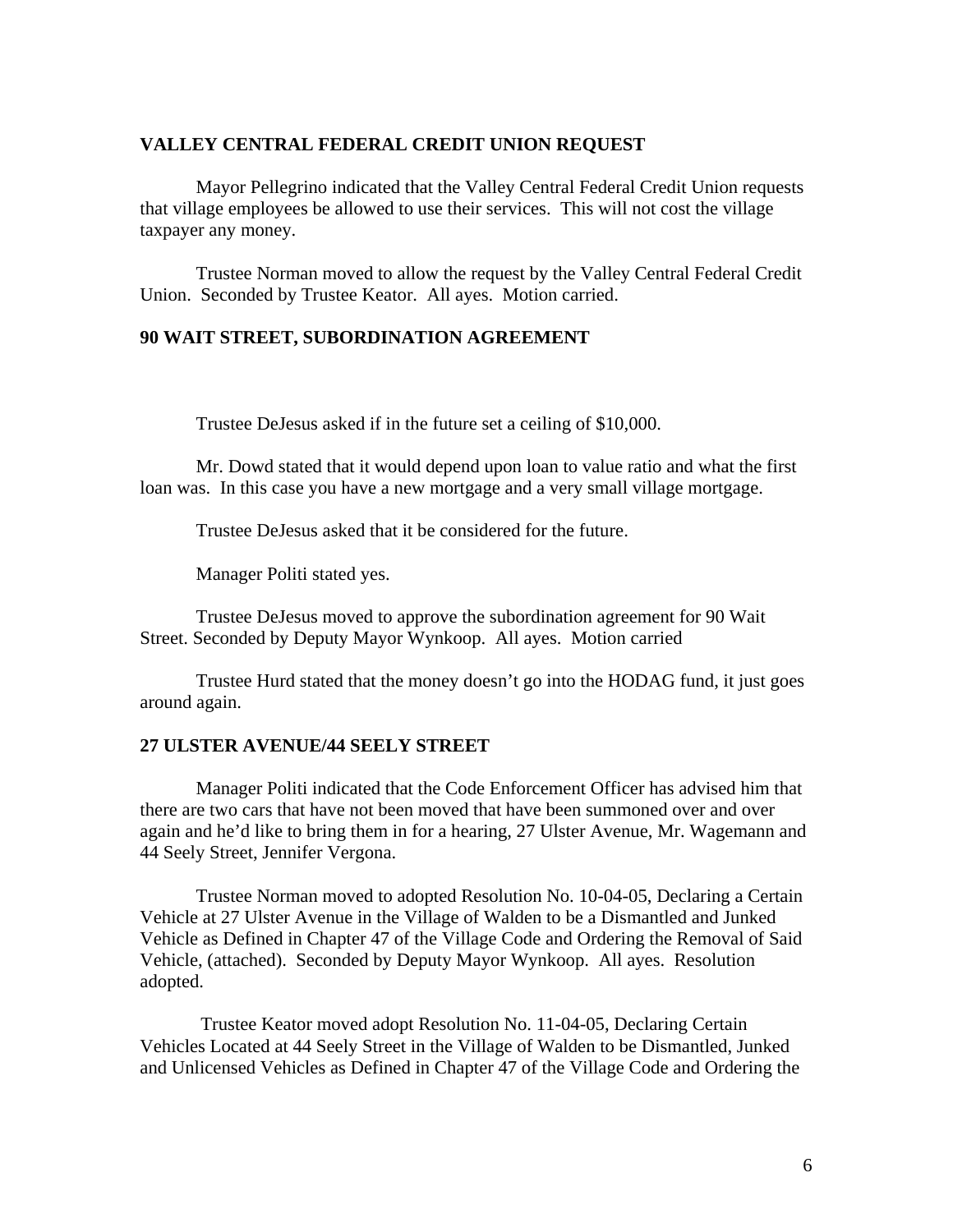### **VALLEY CENTRAL FEDERAL CREDIT UNION REQUEST**

Mayor Pellegrino indicated that the Valley Central Federal Credit Union requests that village employees be allowed to use their services. This will not cost the village taxpayer any money.

 Trustee Norman moved to allow the request by the Valley Central Federal Credit Union. Seconded by Trustee Keator. All ayes. Motion carried.

### **90 WAIT STREET, SUBORDINATION AGREEMENT**

Trustee DeJesus asked if in the future set a ceiling of \$10,000.

 Mr. Dowd stated that it would depend upon loan to value ratio and what the first loan was. In this case you have a new mortgage and a very small village mortgage.

Trustee DeJesus asked that it be considered for the future.

Manager Politi stated yes.

Trustee DeJesus moved to approve the subordination agreement for 90 Wait Street. Seconded by Deputy Mayor Wynkoop. All ayes. Motion carried

 Trustee Hurd stated that the money doesn't go into the HODAG fund, it just goes around again.

## **27 ULSTER AVENUE/44 SEELY STREET**

Manager Politi indicated that the Code Enforcement Officer has advised him that there are two cars that have not been moved that have been summoned over and over again and he'd like to bring them in for a hearing, 27 Ulster Avenue, Mr. Wagemann and 44 Seely Street, Jennifer Vergona.

 Trustee Norman moved to adopted Resolution No. 10-04-05, Declaring a Certain Vehicle at 27 Ulster Avenue in the Village of Walden to be a Dismantled and Junked Vehicle as Defined in Chapter 47 of the Village Code and Ordering the Removal of Said Vehicle, (attached). Seconded by Deputy Mayor Wynkoop. All ayes. Resolution adopted.

 Trustee Keator moved adopt Resolution No. 11-04-05, Declaring Certain Vehicles Located at 44 Seely Street in the Village of Walden to be Dismantled, Junked and Unlicensed Vehicles as Defined in Chapter 47 of the Village Code and Ordering the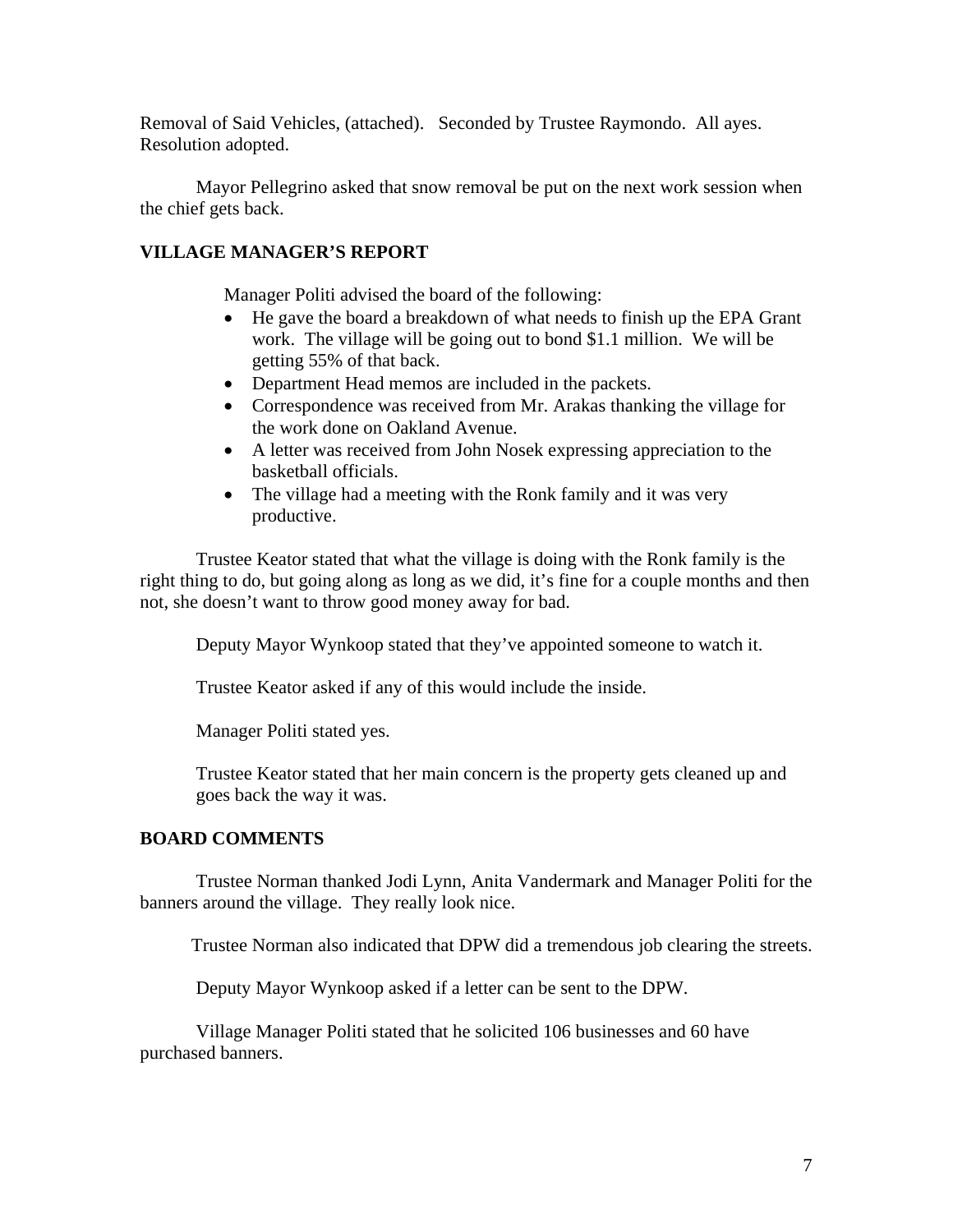Removal of Said Vehicles, (attached). Seconded by Trustee Raymondo. All ayes. Resolution adopted.

Mayor Pellegrino asked that snow removal be put on the next work session when the chief gets back.

# **VILLAGE MANAGER'S REPORT**

Manager Politi advised the board of the following:

- He gave the board a breakdown of what needs to finish up the EPA Grant work. The village will be going out to bond \$1.1 million. We will be getting 55% of that back.
- Department Head memos are included in the packets.
- Correspondence was received from Mr. Arakas thanking the village for the work done on Oakland Avenue.
- A letter was received from John Nosek expressing appreciation to the basketball officials.
- The village had a meeting with the Ronk family and it was very productive.

Trustee Keator stated that what the village is doing with the Ronk family is the right thing to do, but going along as long as we did, it's fine for a couple months and then not, she doesn't want to throw good money away for bad.

Deputy Mayor Wynkoop stated that they've appointed someone to watch it.

Trustee Keator asked if any of this would include the inside.

Manager Politi stated yes.

Trustee Keator stated that her main concern is the property gets cleaned up and goes back the way it was.

# **BOARD COMMENTS**

Trustee Norman thanked Jodi Lynn, Anita Vandermark and Manager Politi for the banners around the village. They really look nice.

Trustee Norman also indicated that DPW did a tremendous job clearing the streets.

Deputy Mayor Wynkoop asked if a letter can be sent to the DPW.

 Village Manager Politi stated that he solicited 106 businesses and 60 have purchased banners.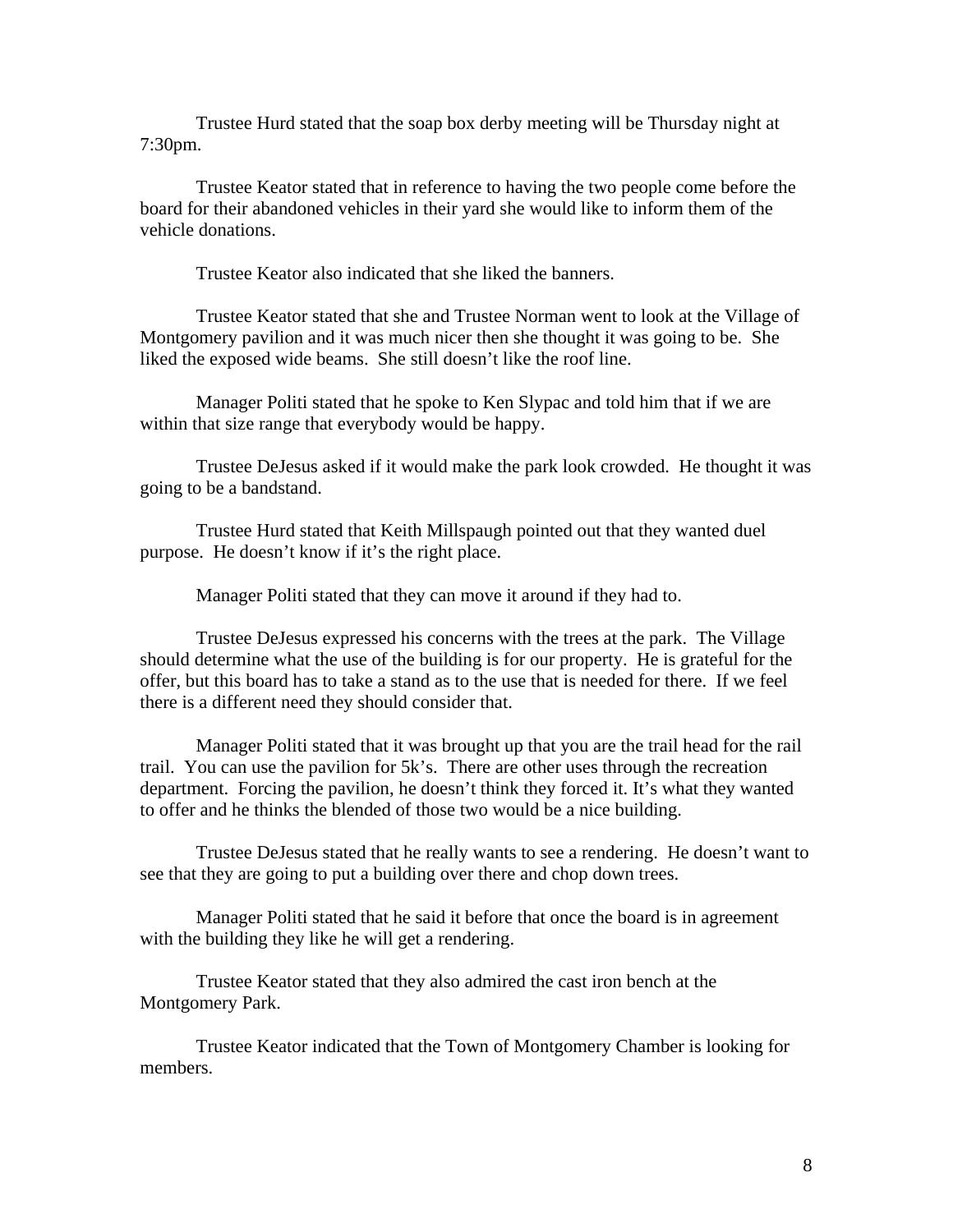Trustee Hurd stated that the soap box derby meeting will be Thursday night at 7:30pm.

 Trustee Keator stated that in reference to having the two people come before the board for their abandoned vehicles in their yard she would like to inform them of the vehicle donations.

Trustee Keator also indicated that she liked the banners.

 Trustee Keator stated that she and Trustee Norman went to look at the Village of Montgomery pavilion and it was much nicer then she thought it was going to be. She liked the exposed wide beams. She still doesn't like the roof line.

 Manager Politi stated that he spoke to Ken Slypac and told him that if we are within that size range that everybody would be happy.

 Trustee DeJesus asked if it would make the park look crowded. He thought it was going to be a bandstand.

 Trustee Hurd stated that Keith Millspaugh pointed out that they wanted duel purpose. He doesn't know if it's the right place.

Manager Politi stated that they can move it around if they had to.

 Trustee DeJesus expressed his concerns with the trees at the park. The Village should determine what the use of the building is for our property. He is grateful for the offer, but this board has to take a stand as to the use that is needed for there. If we feel there is a different need they should consider that.

 Manager Politi stated that it was brought up that you are the trail head for the rail trail. You can use the pavilion for 5k's. There are other uses through the recreation department. Forcing the pavilion, he doesn't think they forced it. It's what they wanted to offer and he thinks the blended of those two would be a nice building.

 Trustee DeJesus stated that he really wants to see a rendering. He doesn't want to see that they are going to put a building over there and chop down trees.

 Manager Politi stated that he said it before that once the board is in agreement with the building they like he will get a rendering.

 Trustee Keator stated that they also admired the cast iron bench at the Montgomery Park.

 Trustee Keator indicated that the Town of Montgomery Chamber is looking for members.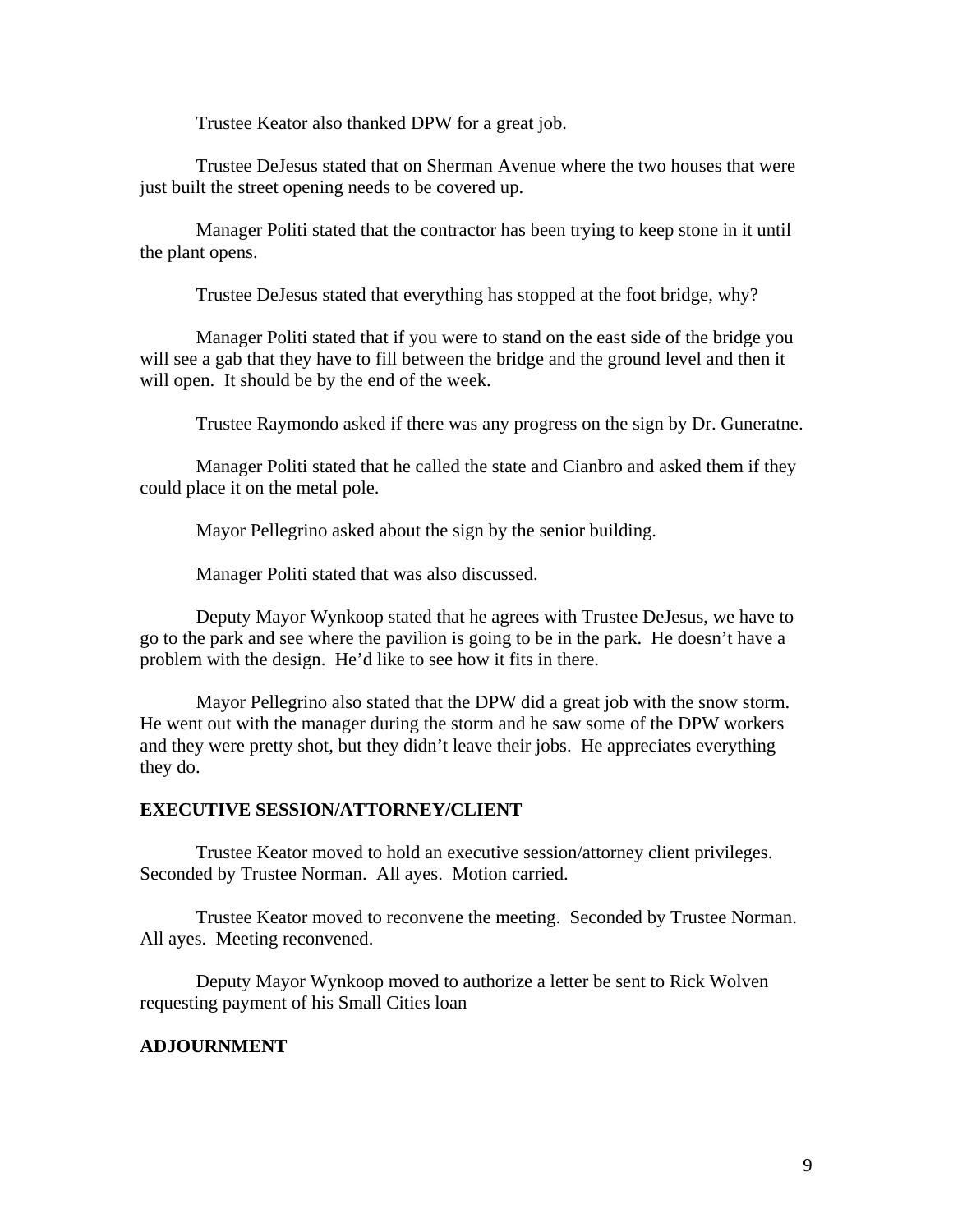Trustee Keator also thanked DPW for a great job.

 Trustee DeJesus stated that on Sherman Avenue where the two houses that were just built the street opening needs to be covered up.

 Manager Politi stated that the contractor has been trying to keep stone in it until the plant opens.

Trustee DeJesus stated that everything has stopped at the foot bridge, why?

 Manager Politi stated that if you were to stand on the east side of the bridge you will see a gab that they have to fill between the bridge and the ground level and then it will open. It should be by the end of the week.

Trustee Raymondo asked if there was any progress on the sign by Dr. Guneratne.

 Manager Politi stated that he called the state and Cianbro and asked them if they could place it on the metal pole.

Mayor Pellegrino asked about the sign by the senior building.

Manager Politi stated that was also discussed.

 Deputy Mayor Wynkoop stated that he agrees with Trustee DeJesus, we have to go to the park and see where the pavilion is going to be in the park. He doesn't have a problem with the design. He'd like to see how it fits in there.

 Mayor Pellegrino also stated that the DPW did a great job with the snow storm. He went out with the manager during the storm and he saw some of the DPW workers and they were pretty shot, but they didn't leave their jobs. He appreciates everything they do.

#### **EXECUTIVE SESSION/ATTORNEY/CLIENT**

Trustee Keator moved to hold an executive session/attorney client privileges. Seconded by Trustee Norman. All ayes. Motion carried.

 Trustee Keator moved to reconvene the meeting. Seconded by Trustee Norman. All ayes. Meeting reconvened.

 Deputy Mayor Wynkoop moved to authorize a letter be sent to Rick Wolven requesting payment of his Small Cities loan

# **ADJOURNMENT**